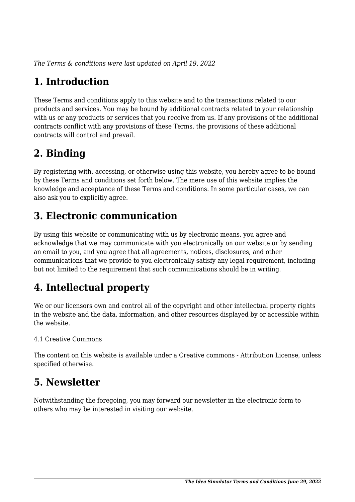*The Terms & conditions were last updated on April 19, 2022*

# **1. Introduction**

These Terms and conditions apply to this website and to the transactions related to our products and services. You may be bound by additional contracts related to your relationship with us or any products or services that you receive from us. If any provisions of the additional contracts conflict with any provisions of these Terms, the provisions of these additional contracts will control and prevail.

# **2. Binding**

By registering with, accessing, or otherwise using this website, you hereby agree to be bound by these Terms and conditions set forth below. The mere use of this website implies the knowledge and acceptance of these Terms and conditions. In some particular cases, we can also ask you to explicitly agree.

# **3. Electronic communication**

By using this website or communicating with us by electronic means, you agree and acknowledge that we may communicate with you electronically on our website or by sending an email to you, and you agree that all agreements, notices, disclosures, and other communications that we provide to you electronically satisfy any legal requirement, including but not limited to the requirement that such communications should be in writing.

# **4. Intellectual property**

We or our licensors own and control all of the copyright and other intellectual property rights in the website and the data, information, and other resources displayed by or accessible within the website.

#### 4.1 Creative Commons

The content on this website is available under a Creative commons - Attribution License, unless specified otherwise.

#### **5. Newsletter**

Notwithstanding the foregoing, you may forward our newsletter in the electronic form to others who may be interested in visiting our website.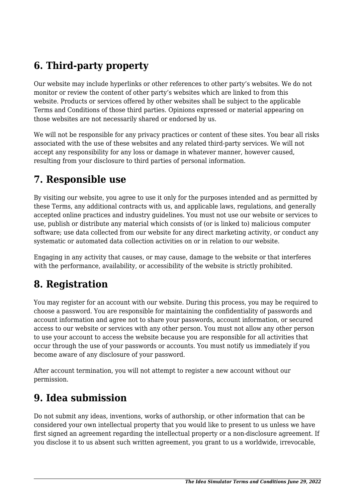# **6. Third-party property**

Our website may include hyperlinks or other references to other party's websites. We do not monitor or review the content of other party's websites which are linked to from this website. Products or services offered by other websites shall be subject to the applicable Terms and Conditions of those third parties. Opinions expressed or material appearing on those websites are not necessarily shared or endorsed by us.

We will not be responsible for any privacy practices or content of these sites. You bear all risks associated with the use of these websites and any related third-party services. We will not accept any responsibility for any loss or damage in whatever manner, however caused, resulting from your disclosure to third parties of personal information.

#### **7. Responsible use**

By visiting our website, you agree to use it only for the purposes intended and as permitted by these Terms, any additional contracts with us, and applicable laws, regulations, and generally accepted online practices and industry guidelines. You must not use our website or services to use, publish or distribute any material which consists of (or is linked to) malicious computer software; use data collected from our website for any direct marketing activity, or conduct any systematic or automated data collection activities on or in relation to our website.

Engaging in any activity that causes, or may cause, damage to the website or that interferes with the performance, availability, or accessibility of the website is strictly prohibited.

#### **8. Registration**

You may register for an account with our website. During this process, you may be required to choose a password. You are responsible for maintaining the confidentiality of passwords and account information and agree not to share your passwords, account information, or secured access to our website or services with any other person. You must not allow any other person to use your account to access the website because you are responsible for all activities that occur through the use of your passwords or accounts. You must notify us immediately if you become aware of any disclosure of your password.

After account termination, you will not attempt to register a new account without our permission.

## **9. Idea submission**

Do not submit any ideas, inventions, works of authorship, or other information that can be considered your own intellectual property that you would like to present to us unless we have first signed an agreement regarding the intellectual property or a non-disclosure agreement. If you disclose it to us absent such written agreement, you grant to us a worldwide, irrevocable,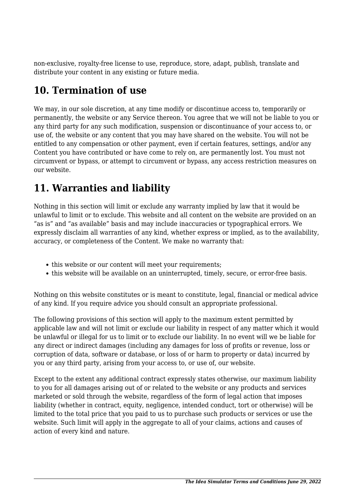non-exclusive, royalty-free license to use, reproduce, store, adapt, publish, translate and distribute your content in any existing or future media.

#### **10. Termination of use**

We may, in our sole discretion, at any time modify or discontinue access to, temporarily or permanently, the website or any Service thereon. You agree that we will not be liable to you or any third party for any such modification, suspension or discontinuance of your access to, or use of, the website or any content that you may have shared on the website. You will not be entitled to any compensation or other payment, even if certain features, settings, and/or any Content you have contributed or have come to rely on, are permanently lost. You must not circumvent or bypass, or attempt to circumvent or bypass, any access restriction measures on our website.

## **11. Warranties and liability**

Nothing in this section will limit or exclude any warranty implied by law that it would be unlawful to limit or to exclude. This website and all content on the website are provided on an "as is" and "as available" basis and may include inaccuracies or typographical errors. We expressly disclaim all warranties of any kind, whether express or implied, as to the availability, accuracy, or completeness of the Content. We make no warranty that:

- this website or our content will meet your requirements;
- this website will be available on an uninterrupted, timely, secure, or error-free basis.

Nothing on this website constitutes or is meant to constitute, legal, financial or medical advice of any kind. If you require advice you should consult an appropriate professional.

The following provisions of this section will apply to the maximum extent permitted by applicable law and will not limit or exclude our liability in respect of any matter which it would be unlawful or illegal for us to limit or to exclude our liability. In no event will we be liable for any direct or indirect damages (including any damages for loss of profits or revenue, loss or corruption of data, software or database, or loss of or harm to property or data) incurred by you or any third party, arising from your access to, or use of, our website.

Except to the extent any additional contract expressly states otherwise, our maximum liability to you for all damages arising out of or related to the website or any products and services marketed or sold through the website, regardless of the form of legal action that imposes liability (whether in contract, equity, negligence, intended conduct, tort or otherwise) will be limited to the total price that you paid to us to purchase such products or services or use the website. Such limit will apply in the aggregate to all of your claims, actions and causes of action of every kind and nature.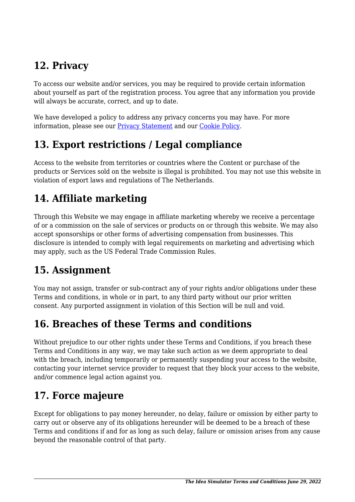# **12. Privacy**

To access our website and/or services, you may be required to provide certain information about yourself as part of the registration process. You agree that any information you provide will always be accurate, correct, and up to date.

We have developed a policy to address any privacy concerns you may have. For more information, please see our Privacy Statement and our [Cookie Policy](https://www.ideasimulator.com/cookie-policy-eu/).

## **13. Export restrictions / Legal compliance**

Access to the website from territories or countries where the Content or purchase of the products or Services sold on the website is illegal is prohibited. You may not use this website in violation of export laws and regulations of The Netherlands.

## **14. Affiliate marketing**

Through this Website we may engage in affiliate marketing whereby we receive a percentage of or a commission on the sale of services or products on or through this website. We may also accept sponsorships or other forms of advertising compensation from businesses. This disclosure is intended to comply with legal requirements on marketing and advertising which may apply, such as the US Federal Trade Commission Rules.

## **15. Assignment**

You may not assign, transfer or sub-contract any of your rights and/or obligations under these Terms and conditions, in whole or in part, to any third party without our prior written consent. Any purported assignment in violation of this Section will be null and void.

## **16. Breaches of these Terms and conditions**

Without prejudice to our other rights under these Terms and Conditions, if you breach these Terms and Conditions in any way, we may take such action as we deem appropriate to deal with the breach, including temporarily or permanently suspending your access to the website, contacting your internet service provider to request that they block your access to the website, and/or commence legal action against you.

## **17. Force majeure**

Except for obligations to pay money hereunder, no delay, failure or omission by either party to carry out or observe any of its obligations hereunder will be deemed to be a breach of these Terms and conditions if and for as long as such delay, failure or omission arises from any cause beyond the reasonable control of that party.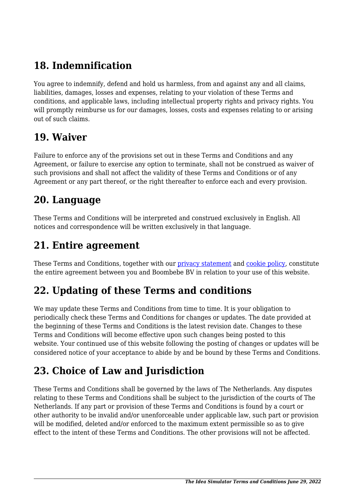# **18. Indemnification**

You agree to indemnify, defend and hold us harmless, from and against any and all claims, liabilities, damages, losses and expenses, relating to your violation of these Terms and conditions, and applicable laws, including intellectual property rights and privacy rights. You will promptly reimburse us for our damages, losses, costs and expenses relating to or arising out of such claims.

#### **19. Waiver**

Failure to enforce any of the provisions set out in these Terms and Conditions and any Agreement, or failure to exercise any option to terminate, shall not be construed as waiver of such provisions and shall not affect the validity of these Terms and Conditions or of any Agreement or any part thereof, or the right thereafter to enforce each and every provision.

#### **20. Language**

These Terms and Conditions will be interpreted and construed exclusively in English. All notices and correspondence will be written exclusively in that language.

#### **21. Entire agreement**

These Terms and Conditions, together with our *privacy statement* and *cookie policy*, constitute the entire agreement between you and Boombebe BV in relation to your use of this website.

## **22. Updating of these Terms and conditions**

We may update these Terms and Conditions from time to time. It is your obligation to periodically check these Terms and Conditions for changes or updates. The date provided at the beginning of these Terms and Conditions is the latest revision date. Changes to these Terms and Conditions will become effective upon such changes being posted to this website. Your continued use of this website following the posting of changes or updates will be considered notice of your acceptance to abide by and be bound by these Terms and Conditions.

## **23. Choice of Law and Jurisdiction**

These Terms and Conditions shall be governed by the laws of The Netherlands. Any disputes relating to these Terms and Conditions shall be subject to the jurisdiction of the courts of The Netherlands. If any part or provision of these Terms and Conditions is found by a court or other authority to be invalid and/or unenforceable under applicable law, such part or provision will be modified, deleted and/or enforced to the maximum extent permissible so as to give effect to the intent of these Terms and Conditions. The other provisions will not be affected.